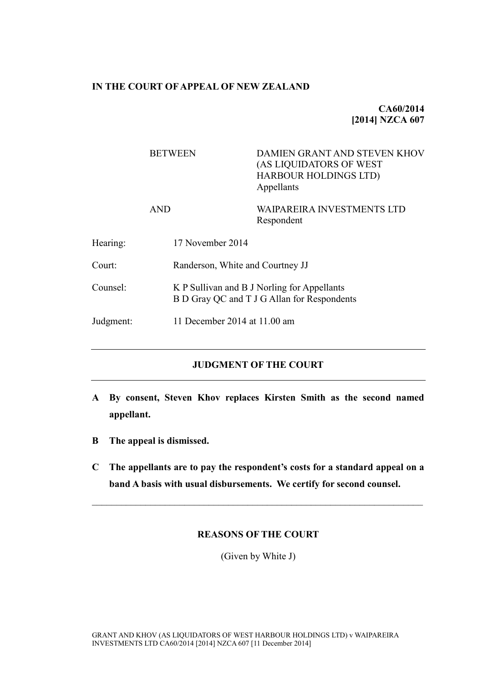### **IN THE COURT OF APPEAL OF NEW ZEALAND**

# **CA60/2014 [2014] NZCA 607**

# BETWEEN DAMIEN GRANT AND STEVEN KHOV (AS LIQUIDATORS OF WEST HARBOUR HOLDINGS LTD) Appellants AND WAIPAREIRA INVESTMENTS LTD Respondent Hearing: 17 November 2014 Court: Randerson, White and Courtney JJ Counsel: K P Sullivan and B J Norling for Appellants B D Gray QC and T J G Allan for Respondents Judgment: 11 December 2014 at 11.00 am

# **JUDGMENT OF THE COURT**

- **A By consent, Steven Khov replaces Kirsten Smith as the second named appellant.**
- **B The appeal is dismissed.**
- **C The appellants are to pay the respondent's costs for a standard appeal on a band A basis with usual disbursements. We certify for second counsel.**

 $\mathcal{L}_\mathcal{L} = \{ \mathcal{L}_\mathcal{L} = \{ \mathcal{L}_\mathcal{L} = \{ \mathcal{L}_\mathcal{L} = \{ \mathcal{L}_\mathcal{L} = \{ \mathcal{L}_\mathcal{L} = \{ \mathcal{L}_\mathcal{L} = \{ \mathcal{L}_\mathcal{L} = \{ \mathcal{L}_\mathcal{L} = \{ \mathcal{L}_\mathcal{L} = \{ \mathcal{L}_\mathcal{L} = \{ \mathcal{L}_\mathcal{L} = \{ \mathcal{L}_\mathcal{L} = \{ \mathcal{L}_\mathcal{L} = \{ \mathcal{L}_\mathcal{$ 

### **REASONS OF THE COURT**

(Given by White J)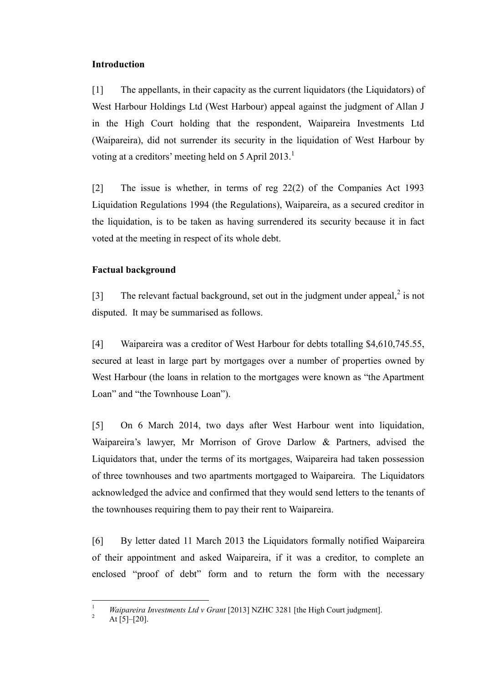### **Introduction**

[1] The appellants, in their capacity as the current liquidators (the Liquidators) of West Harbour Holdings Ltd (West Harbour) appeal against the judgment of Allan J in the High Court holding that the respondent, Waipareira Investments Ltd (Waipareira), did not surrender its security in the liquidation of West Harbour by voting at a creditors' meeting held on 5 April 2013.<sup>1</sup>

<span id="page-1-0"></span>[2] The issue is whether, in terms of reg 22(2) of the Companies Act 1993 Liquidation Regulations 1994 (the Regulations), Waipareira, as a secured creditor in the liquidation, is to be taken as having surrendered its security because it in fact voted at the meeting in respect of its whole debt.

# **Factual background**

[3] The relevant factual background, set out in the judgment under appeal, $^2$  is not disputed. It may be summarised as follows.

[4] Waipareira was a creditor of West Harbour for debts totalling \$4,610,745.55, secured at least in large part by mortgages over a number of properties owned by West Harbour (the loans in relation to the mortgages were known as "the Apartment Loan" and "the Townhouse Loan").

[5] On 6 March 2014, two days after West Harbour went into liquidation, Waipareira's lawyer, Mr Morrison of Grove Darlow & Partners, advised the Liquidators that, under the terms of its mortgages, Waipareira had taken possession of three townhouses and two apartments mortgaged to Waipareira. The Liquidators acknowledged the advice and confirmed that they would send letters to the tenants of the townhouses requiring them to pay their rent to Waipareira.

[6] By letter dated 11 March 2013 the Liquidators formally notified Waipareira of their appointment and asked Waipareira, if it was a creditor, to complete an enclosed "proof of debt" form and to return the form with the necessary

 $\overline{1}$ <sup>1</sup> *Waipareira Investments Ltd v Grant* [2013] NZHC 3281 [the High Court judgment].

At  $\overline{[5]-[20]}$ .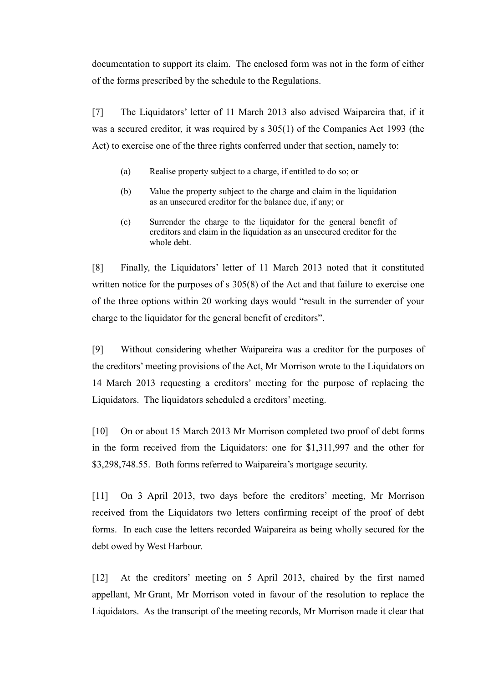documentation to support its claim. The enclosed form was not in the form of either of the forms prescribed by the schedule to the Regulations.

<span id="page-2-0"></span>[7] The Liquidators' letter of 11 March 2013 also advised Waipareira that, if it was a secured creditor, it was required by s 305(1) of the Companies Act 1993 (the Act) to exercise one of the three rights conferred under that section, namely to:

- (a) Realise property subject to a charge, if entitled to do so; or
- (b) Value the property subject to the charge and claim in the liquidation as an unsecured creditor for the balance due, if any; or
- (c) Surrender the charge to the liquidator for the general benefit of creditors and claim in the liquidation as an unsecured creditor for the whole debt.

[8] Finally, the Liquidators' letter of 11 March 2013 noted that it constituted written notice for the purposes of s 305(8) of the Act and that failure to exercise one of the three options within 20 working days would "result in the surrender of your charge to the liquidator for the general benefit of creditors".

[9] Without considering whether Waipareira was a creditor for the purposes of the creditors' meeting provisions of the Act, Mr Morrison wrote to the Liquidators on 14 March 2013 requesting a creditors' meeting for the purpose of replacing the Liquidators. The liquidators scheduled a creditors' meeting.

[10] On or about 15 March 2013 Mr Morrison completed two proof of debt forms in the form received from the Liquidators: one for \$1,311,997 and the other for \$3,298,748.55. Both forms referred to Waipareira's mortgage security.

<span id="page-2-1"></span>[11] On 3 April 2013, two days before the creditors' meeting, Mr Morrison received from the Liquidators two letters confirming receipt of the proof of debt forms. In each case the letters recorded Waipareira as being wholly secured for the debt owed by West Harbour.

[12] At the creditors' meeting on 5 April 2013, chaired by the first named appellant, Mr Grant, Mr Morrison voted in favour of the resolution to replace the Liquidators. As the transcript of the meeting records, Mr Morrison made it clear that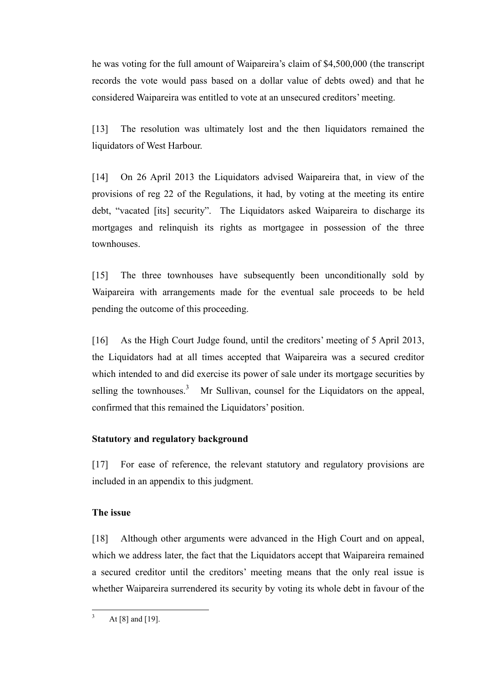he was voting for the full amount of Waipareira's claim of \$4,500,000 (the transcript records the vote would pass based on a dollar value of debts owed) and that he considered Waipareira was entitled to vote at an unsecured creditors' meeting.

[13] The resolution was ultimately lost and the then liquidators remained the liquidators of West Harbour.

[14] On 26 April 2013 the Liquidators advised Waipareira that, in view of the provisions of reg 22 of the Regulations, it had, by voting at the meeting its entire debt, "vacated [its] security". The Liquidators asked Waipareira to discharge its mortgages and relinquish its rights as mortgagee in possession of the three townhouses.

[15] The three townhouses have subsequently been unconditionally sold by Waipareira with arrangements made for the eventual sale proceeds to be held pending the outcome of this proceeding.

<span id="page-3-0"></span>[16] As the High Court Judge found, until the creditors' meeting of 5 April 2013, the Liquidators had at all times accepted that Waipareira was a secured creditor which intended to and did exercise its power of sale under its mortgage securities by selling the townhouses.<sup>3</sup> Mr Sullivan, counsel for the Liquidators on the appeal, confirmed that this remained the Liquidators' position.

# **Statutory and regulatory background**

[17] For ease of reference, the relevant statutory and regulatory provisions are included in an appendix to this judgment.

# **The issue**

[18] Although other arguments were advanced in the High Court and on appeal, which we address later, the fact that the Liquidators accept that Waipareira remained a secured creditor until the creditors' meeting means that the only real issue is whether Waipareira surrendered its security by voting its whole debt in favour of the

 $\overline{3}$ At  $[8]$  and  $[19]$ .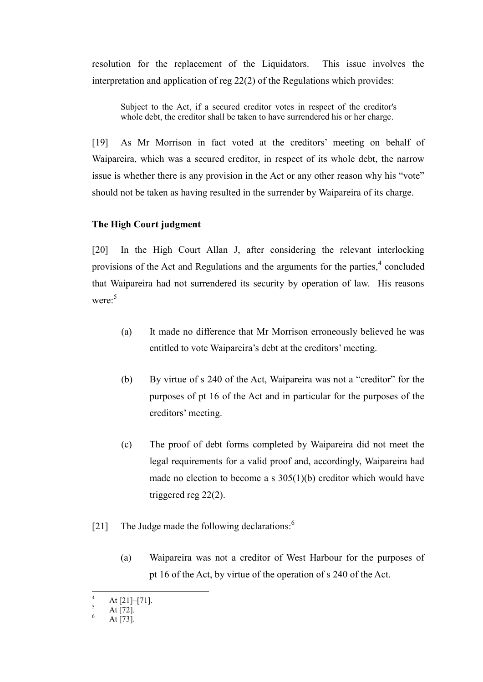resolution for the replacement of the Liquidators. This issue involves the interpretation and application of reg 22(2) of the Regulations which provides:

Subject to the Act, if a secured creditor votes in respect of the creditor's whole debt, the creditor shall be taken to have surrendered his or her charge.

[19] As Mr Morrison in fact voted at the creditors' meeting on behalf of Waipareira, which was a secured creditor, in respect of its whole debt, the narrow issue is whether there is any provision in the Act or any other reason why his "vote" should not be taken as having resulted in the surrender by Waipareira of its charge.

### **The High Court judgment**

[20] In the High Court Allan J, after considering the relevant interlocking provisions of the Act and Regulations and the arguments for the parties, $4$  concluded that Waipareira had not surrendered its security by operation of law. His reasons were:<sup>5</sup>

- (a) It made no difference that Mr Morrison erroneously believed he was entitled to vote Waipareira's debt at the creditors' meeting.
- (b) By virtue of s 240 of the Act, Waipareira was not a "creditor" for the purposes of pt 16 of the Act and in particular for the purposes of the creditors' meeting.
- (c) The proof of debt forms completed by Waipareira did not meet the legal requirements for a valid proof and, accordingly, Waipareira had made no election to become a s 305(1)(b) creditor which would have triggered reg 22(2).
- [21] The Judge made the following declarations:<sup>6</sup>
	- (a) Waipareira was not a creditor of West Harbour for the purposes of pt 16 of the Act, by virtue of the operation of s 240 of the Act.

 $\overline{a}$ 

 $^{4}$  At [21]–[71].

 $\frac{5}{6}$  At [72].

At [73].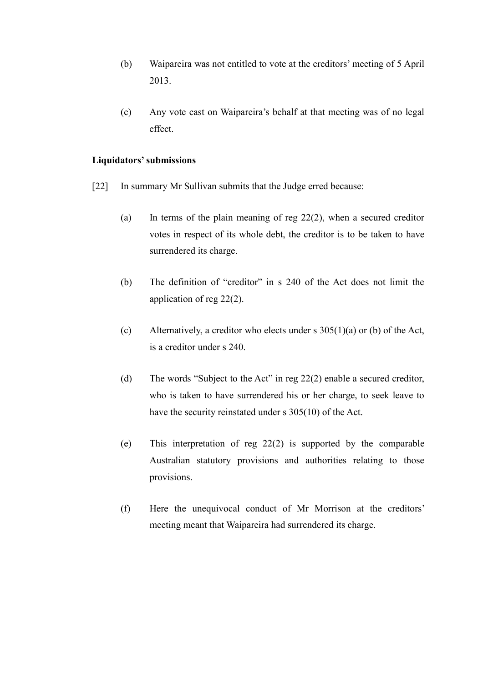- (b) Waipareira was not entitled to vote at the creditors' meeting of 5 April 2013.
- (c) Any vote cast on Waipareira's behalf at that meeting was of no legal effect.

# **Liquidators' submissions**

- [22] In summary Mr Sullivan submits that the Judge erred because:
	- (a) In terms of the plain meaning of reg  $22(2)$ , when a secured creditor votes in respect of its whole debt, the creditor is to be taken to have surrendered its charge.
	- (b) The definition of "creditor" in s 240 of the Act does not limit the application of reg 22(2).
	- (c) Alternatively, a creditor who elects under s  $305(1)(a)$  or (b) of the Act, is a creditor under s 240.
	- (d) The words "Subject to the Act" in reg 22(2) enable a secured creditor, who is taken to have surrendered his or her charge, to seek leave to have the security reinstated under s 305(10) of the Act.
	- (e) This interpretation of reg 22(2) is supported by the comparable Australian statutory provisions and authorities relating to those provisions.
	- (f) Here the unequivocal conduct of Mr Morrison at the creditors' meeting meant that Waipareira had surrendered its charge.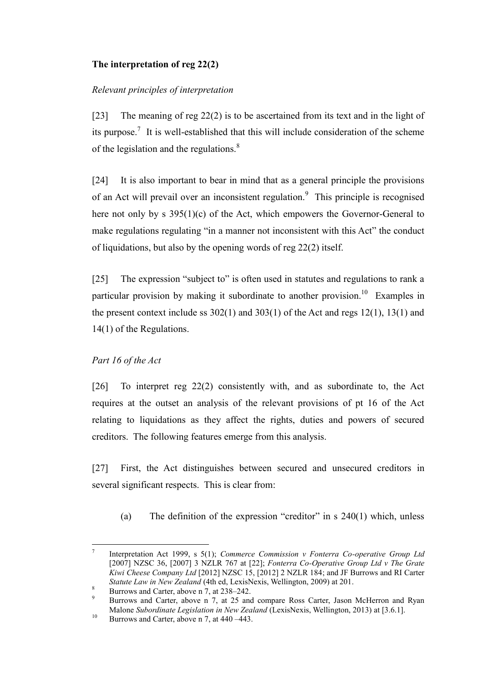# **The interpretation of reg 22(2)**

# *Relevant principles of interpretation*

<span id="page-6-0"></span>[23] The meaning of reg 22(2) is to be ascertained from its text and in the light of its purpose.<sup>7</sup> It is well-established that this will include consideration of the scheme of the legislation and the regulations.<sup>8</sup>

[24] It is also important to bear in mind that as a general principle the provisions of an Act will prevail over an inconsistent regulation.<sup>9</sup> This principle is recognised here not only by s 395(1)(c) of the Act, which empowers the Governor-General to make regulations regulating "in a manner not inconsistent with this Act" the conduct of liquidations, but also by the opening words of reg 22(2) itself.

[25] The expression "subject to" is often used in statutes and regulations to rank a particular provision by making it subordinate to another provision.<sup>10</sup> Examples in the present context include ss 302(1) and 303(1) of the Act and regs 12(1), 13(1) and 14(1) of the Regulations.

# *Part 16 of the Act*

[26] To interpret reg 22(2) consistently with, and as subordinate to, the Act requires at the outset an analysis of the relevant provisions of pt 16 of the Act relating to liquidations as they affect the rights, duties and powers of secured creditors. The following features emerge from this analysis.

[27] First, the Act distinguishes between secured and unsecured creditors in several significant respects. This is clear from:

(a) The definition of the expression "creditor" in s 240(1) which, unless

 $\overline{a}$ 7 Interpretation Act 1999, s 5(1); *Commerce Commission v Fonterra Co-operative Group Ltd*  [2007] NZSC 36, [2007] 3 NZLR 767 at [22]; *Fonterra Co-Operative Group Ltd v The Grate Kiwi Cheese Company Ltd* [2012] NZSC 15, [2012] 2 NZLR 184; and JF Burrows and RI Carter *Statute Law in New Zealand* (4th ed, LexisNexis, Wellington, 2009) at 201.

<sup>&</sup>lt;sup>8</sup> Burrows and Carter, above n  $7$ , at  $238-242$ .

<sup>9</sup> Burrows and Carter, above n [7,](#page-6-0) at 25 and compare Ross Carter, Jason McHerron and Ryan Malone *Subordinate Legislation in New Zealand* (LexisNexis, Wellington, 2013) at [3.6.1].

<sup>&</sup>lt;sup>10</sup> Burrows and Carter, above n [7,](#page-6-0) at 440 –443.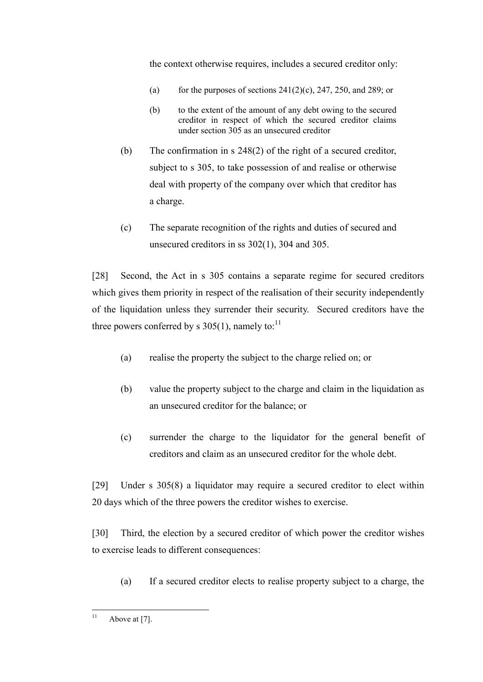the context otherwise requires, includes a secured creditor only:

- (a) for the purposes of sections  $241(2)(c)$ ,  $247$ ,  $250$ , and  $289$ ; or
- (b) to the extent of the amount of any debt owing to the secured creditor in respect of which the secured creditor claims under [section 305](http://www.legislation.govt.nz/act/public/1993/0105/latest/link.aspx?id=DLM322329) as an unsecured creditor
- (b) The confirmation in s 248(2) of the right of a secured creditor, subject to s 305, to take possession of and realise or otherwise deal with property of the company over which that creditor has a charge.
- (c) The separate recognition of the rights and duties of secured and unsecured creditors in ss 302(1), 304 and 305.

[28] Second, the Act in s 305 contains a separate regime for secured creditors which gives them priority in respect of the realisation of their security independently of the liquidation unless they surrender their security. Secured creditors have the three powers conferred by s  $305(1)$ , namely to:<sup>11</sup>

- (a) realise the property the subject to the charge relied on; or
- (b) value the property subject to the charge and claim in the liquidation as an unsecured creditor for the balance; or
- (c) surrender the charge to the liquidator for the general benefit of creditors and claim as an unsecured creditor for the whole debt.

[29] Under s 305(8) a liquidator may require a secured creditor to elect within 20 days which of the three powers the creditor wishes to exercise.

[30] Third, the election by a secured creditor of which power the creditor wishes to exercise leads to different consequences:

(a) If a secured creditor elects to realise property subject to a charge, the

 $11$ Above at  $[7]$ .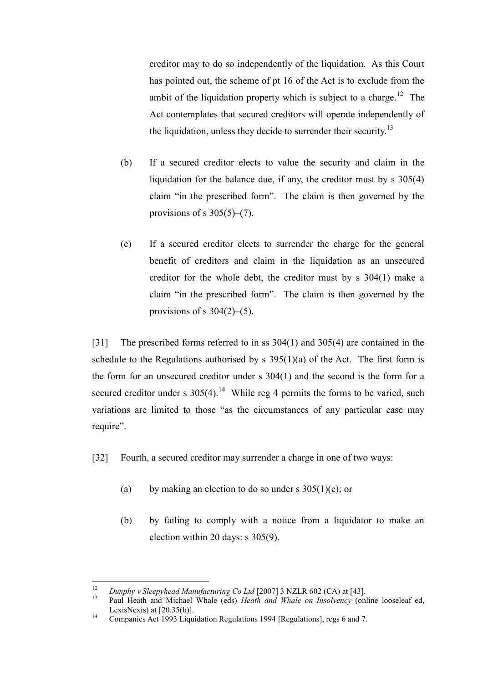creditor may to do so independently of the liquidation. As this Court has pointed out, the scheme of pt 16 of the Act is to exclude from the ambit of the liquidation property which is subject to a charge.<sup>12</sup> The Act contemplates that secured creditors will operate independently of the liquidation, unless they decide to surrender their security.<sup>13</sup>

- (b) If a secured creditor elects to value the security and claim in the liquidation for the balance due, if any, the creditor must by s 305(4) claim "in the prescribed form". The claim is then governed by the provisions of s  $305(5)$ – $(7)$ .
- (c) If a secured creditor elects to surrender the charge for the general benefit of creditors and claim in the liquidation as an unsecured creditor for the whole debt, the creditor must by s 304(1) make a claim "in the prescribed form". The claim is then governed by the provisions of s  $304(2)$ –(5).

[31] The prescribed forms referred to in ss  $304(1)$  and  $305(4)$  are contained in the schedule to the Regulations authorised by s  $395(1)(a)$  of the Act. The first form is the form for an unsecured creditor under s 304(1) and the second is the form for a secured creditor under s  $305(4)$ .<sup>14</sup> While reg 4 permits the forms to be varied, such variations are limited to those "as the circumstances of any particular case may require".

<span id="page-8-0"></span>[32] Fourth, a secured creditor may surrender a charge in one of two ways:

- (a) by making an election to do so under s  $305(1)(c)$ ; or
- (b) by failing to comply with a notice from a liquidator to make an election within 20 days: s 305(9).

 $12$ <sup>12</sup> *Dunphy v Sleepyhead Manufacturing Co Ltd* [2007] 3 NZLR 602 (CA) at [43].

<sup>13</sup> Paul Heath and Michael Whale (eds) *Heath and Whale on Insolvency* (online looseleaf ed, LexisNexis) at [20.35(b)].

<sup>&</sup>lt;sup>14</sup> Companies Act 1993 Liquidation Regulations 1994 [Regulations], regs 6 and 7.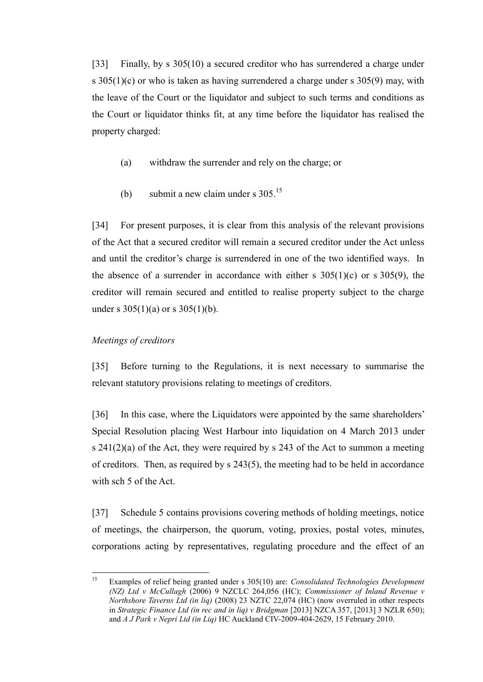<span id="page-9-0"></span>[33] Finally, by s 305(10) a secured creditor who has surrendered a charge under s 305(1)(c) or who is taken as having surrendered a charge under s 305(9) may, with the leave of the Court or the liquidator and subject to such terms and conditions as the Court or liquidator thinks fit, at any time before the liquidator has realised the property charged:

- (a) withdraw the surrender and rely on the charge; or
- (b) submit a new claim under s  $305.<sup>15</sup>$

<span id="page-9-1"></span>[34] For present purposes, it is clear from this analysis of the relevant provisions of the Act that a secured creditor will remain a secured creditor under the Act unless and until the creditor's charge is surrendered in one of the two identified ways. In the absence of a surrender in accordance with either s  $305(1)(c)$  or s  $305(9)$ , the creditor will remain secured and entitled to realise property subject to the charge under s  $305(1)(a)$  or s  $305(1)(b)$ .

# *Meetings of creditors*

[35] Before turning to the Regulations, it is next necessary to summarise the relevant statutory provisions relating to meetings of creditors.

[36] In this case, where the Liquidators were appointed by the same shareholders' Special Resolution placing West Harbour into liquidation on 4 March 2013 under s  $241(2)(a)$  of the Act, they were required by s 243 of the Act to summon a meeting of creditors. Then, as required by s 243(5), the meeting had to be held in accordance with sch 5 of the Act.

[37] Schedule 5 contains provisions covering methods of holding meetings, notice of meetings, the chairperson, the quorum, voting, proxies, postal votes, minutes, corporations acting by representatives, regulating procedure and the effect of an

<sup>15</sup> <sup>15</sup> Examples of relief being granted under s 305(10) are: *Consolidated Technologies Development (NZ) Ltd v McCullagh* (2006) 9 NZCLC 264,056 (HC); *Commissioner of Inland Revenue v Northshore Taverns Ltd (in liq)* (2008) 23 NZTC 22,074 (HC) (now overruled in other respects in *Strategic Finance Ltd (in rec and in liq) v Bridgman* [2013] NZCA 357, [2013] 3 NZLR 650); and *A J Park v Nepri Ltd (in Liq)* HC Auckland CIV-2009-404-2629, 15 February 2010.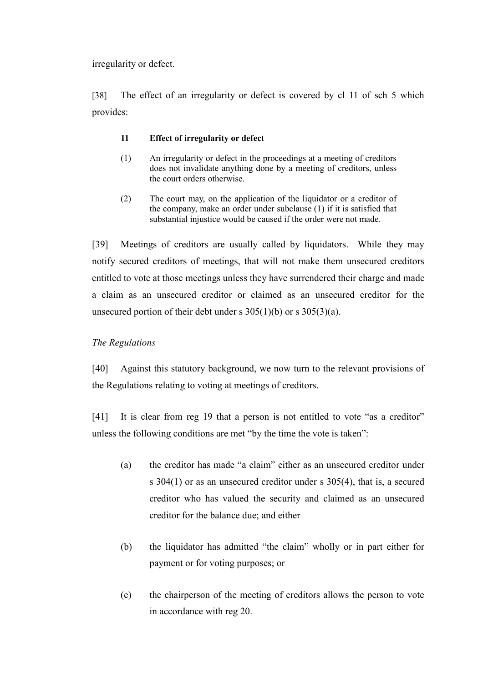irregularity or defect.

[38] The effect of an irregularity or defect is covered by cl 11 of sch 5 which provides:

# **11 Effect of irregularity or defect**

- (1) An irregularity or defect in the proceedings at a meeting of creditors does not invalidate anything done by a meeting of creditors, unless the court orders otherwise.
- (2) The court may, on the application of the liquidator or a creditor of the company, make an order under subclause (1) if it is satisfied that substantial injustice would be caused if the order were not made.

[39] Meetings of creditors are usually called by liquidators. While they may notify secured creditors of meetings, that will not make them unsecured creditors entitled to vote at those meetings unless they have surrendered their charge and made a claim as an unsecured creditor or claimed as an unsecured creditor for the unsecured portion of their debt under s  $305(1)(b)$  or s  $305(3)(a)$ .

# *The Regulations*

[40] Against this statutory background, we now turn to the relevant provisions of the Regulations relating to voting at meetings of creditors.

<span id="page-10-0"></span>[41] It is clear from reg 19 that a person is not entitled to vote "as a creditor" unless the following conditions are met "by the time the vote is taken":

- (a) the creditor has made "a claim" either as an unsecured creditor under s 304(1) or as an unsecured creditor under s 305(4), that is, a secured creditor who has valued the security and claimed as an unsecured creditor for the balance due; and either
- (b) the liquidator has admitted "the claim" wholly or in part either for payment or for voting purposes; or
- (c) the chairperson of the meeting of creditors allows the person to vote in accordance with reg 20.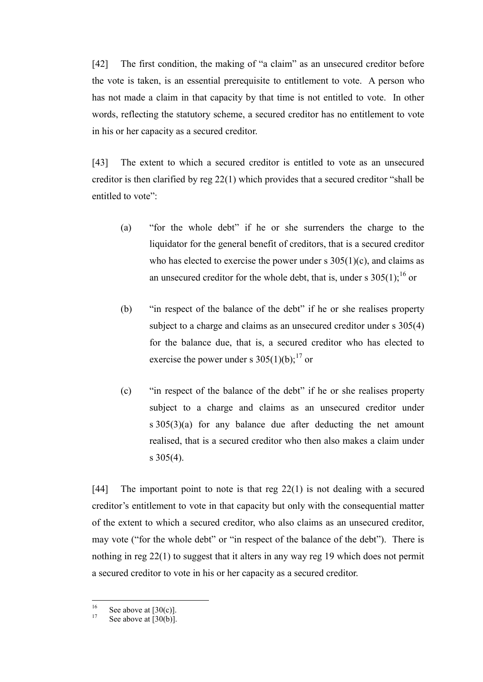<span id="page-11-0"></span>[42] The first condition, the making of "a claim" as an unsecured creditor before the vote is taken, is an essential prerequisite to entitlement to vote. A person who has not made a claim in that capacity by that time is not entitled to vote. In other words, reflecting the statutory scheme, a secured creditor has no entitlement to vote in his or her capacity as a secured creditor.

[43] The extent to which a secured creditor is entitled to vote as an unsecured creditor is then clarified by reg 22(1) which provides that a secured creditor "shall be entitled to vote":

- (a) "for the whole debt" if he or she surrenders the charge to the liquidator for the general benefit of creditors, that is a secured creditor who has elected to exercise the power under s  $305(1)(c)$ , and claims as an unsecured creditor for the whole debt, that is, under s  $305(1)$ ;<sup>16</sup> or
- (b) "in respect of the balance of the debt" if he or she realises property subject to a charge and claims as an unsecured creditor under s  $305(4)$ for the balance due, that is, a secured creditor who has elected to exercise the power under s  $305(1)(b)$ ;<sup>17</sup> or
- (c) "in respect of the balance of the debt" if he or she realises property subject to a charge and claims as an unsecured creditor under s  $305(3)(a)$  for any balance due after deducting the net amount realised, that is a secured creditor who then also makes a claim under  $s \frac{305(4)}{s}$ .

[44] The important point to note is that reg 22(1) is not dealing with a secured creditor's entitlement to vote in that capacity but only with the consequential matter of the extent to which a secured creditor, who also claims as an unsecured creditor, may vote ("for the whole debt" or "in respect of the balance of the debt"). There is nothing in reg 22(1) to suggest that it alters in any way reg 19 which does not permit a secured creditor to vote in his or her capacity as a secured creditor.

 $16$  $^{16}$  See above at [30(c)].

See above at  $\overline{[30(b)]}$ .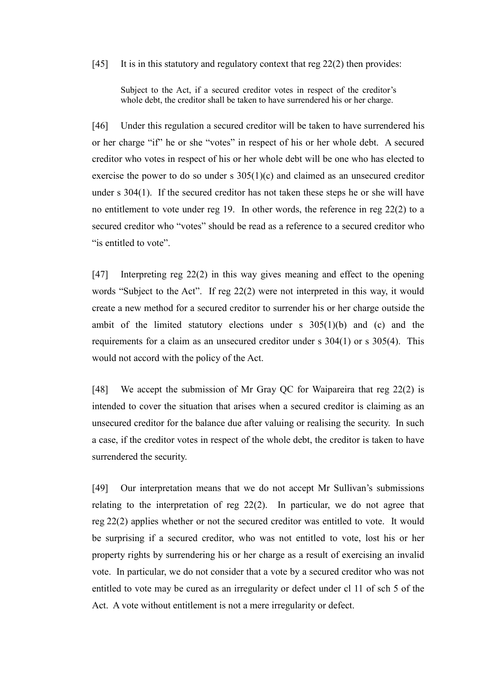#### [45] It is in this statutory and regulatory context that reg 22(2) then provides:

Subject to the Act, if a secured creditor votes in respect of the creditor's whole debt, the creditor shall be taken to have surrendered his or her charge.

<span id="page-12-0"></span>[46] Under this regulation a secured creditor will be taken to have surrendered his or her charge "if" he or she "votes" in respect of his or her whole debt. A secured creditor who votes in respect of his or her whole debt will be one who has elected to exercise the power to do so under s 305(1)(c) and claimed as an unsecured creditor under s 304(1). If the secured creditor has not taken these steps he or she will have no entitlement to vote under reg 19. In other words, the reference in reg 22(2) to a secured creditor who "votes" should be read as a reference to a secured creditor who "is entitled to vote".

[47] Interpreting reg 22(2) in this way gives meaning and effect to the opening words "Subject to the Act". If reg 22(2) were not interpreted in this way, it would create a new method for a secured creditor to surrender his or her charge outside the ambit of the limited statutory elections under s  $305(1)(b)$  and (c) and the requirements for a claim as an unsecured creditor under s 304(1) or s 305(4). This would not accord with the policy of the Act.

[48] We accept the submission of Mr Gray QC for Waipareira that reg 22(2) is intended to cover the situation that arises when a secured creditor is claiming as an unsecured creditor for the balance due after valuing or realising the security. In such a case, if the creditor votes in respect of the whole debt, the creditor is taken to have surrendered the security.

[49] Our interpretation means that we do not accept Mr Sullivan's submissions relating to the interpretation of reg 22(2). In particular, we do not agree that reg 22(2) applies whether or not the secured creditor was entitled to vote. It would be surprising if a secured creditor, who was not entitled to vote, lost his or her property rights by surrendering his or her charge as a result of exercising an invalid vote. In particular, we do not consider that a vote by a secured creditor who was not entitled to vote may be cured as an irregularity or defect under cl 11 of sch 5 of the Act. A vote without entitlement is not a mere irregularity or defect.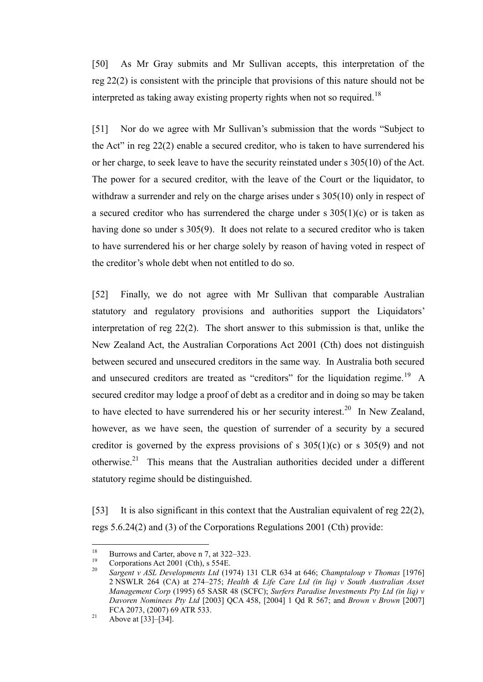[50] As Mr Gray submits and Mr Sullivan accepts, this interpretation of the reg 22(2) is consistent with the principle that provisions of this nature should not be interpreted as taking away existing property rights when not so required.<sup>18</sup>

<span id="page-13-0"></span>[51] Nor do we agree with Mr Sullivan's submission that the words "Subject to the Act" in reg 22(2) enable a secured creditor, who is taken to have surrendered his or her charge, to seek leave to have the security reinstated under s 305(10) of the Act. The power for a secured creditor, with the leave of the Court or the liquidator, to withdraw a surrender and rely on the charge arises under s 305(10) only in respect of a secured creditor who has surrendered the charge under s  $305(1)(c)$  or is taken as having done so under s 305(9). It does not relate to a secured creditor who is taken to have surrendered his or her charge solely by reason of having voted in respect of the creditor's whole debt when not entitled to do so.

[52] Finally, we do not agree with Mr Sullivan that comparable Australian statutory and regulatory provisions and authorities support the Liquidators' interpretation of reg 22(2). The short answer to this submission is that, unlike the New Zealand Act, the Australian Corporations Act 2001 (Cth) does not distinguish between secured and unsecured creditors in the same way. In Australia both secured and unsecured creditors are treated as "creditors" for the liquidation regime.<sup>19</sup> A secured creditor may lodge a proof of debt as a creditor and in doing so may be taken to have elected to have surrendered his or her security interest.<sup>20</sup> In New Zealand, however, as we have seen, the question of surrender of a security by a secured creditor is governed by the express provisions of s  $305(1)(c)$  or s  $305(9)$  and not otherwise.<sup>21</sup> This means that the Australian authorities decided under a different statutory regime should be distinguished.

[53] It is also significant in this context that the Australian equivalent of reg 22(2), regs 5.6.24(2) and (3) of the Corporations Regulations 2001 (Cth) provide:

<sup>18</sup> <sup>18</sup> Burrows and Carter, above n [7,](#page-6-0) at 322–323.

<sup>&</sup>lt;sup>19</sup> Corporations Act 2001 (Cth), s 554E.<br><sup>20</sup> Same at the ASL Douglas ments It of (10)

<sup>20</sup> *Sargent v ASL Developments Ltd* (1974) 131 CLR 634 at 646; *Champtaloup v Thomas* [1976] 2 NSWLR 264 (CA) at 274–275; *Health & Life Care Ltd (in liq) v South Australian Asset Management Corp* (1995) 65 SASR 48 (SCFC); *Surfers Paradise Investments Pty Ltd (in liq) v Davoren Nominees Pty Ltd* [2003] QCA 458, [2004] 1 Qd R 567; and *Brown v Brown* [2007] FCA 2073, (2007) 69 ATR 533.

<sup>21</sup> Above at  $[33]$ – $[34]$ .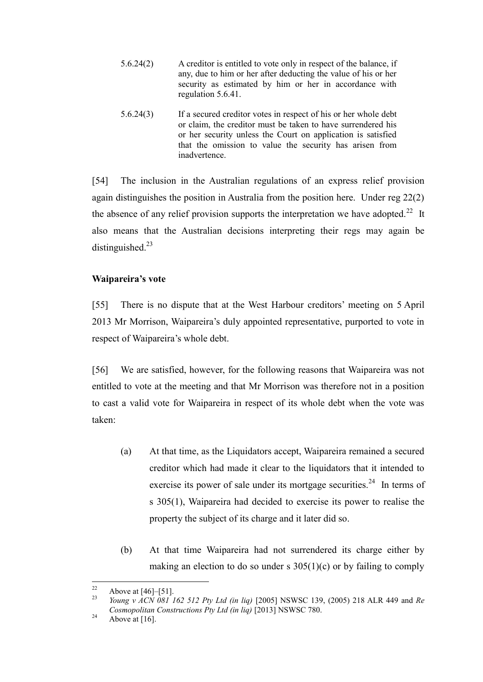- 5.6.24(2) A creditor is entitled to vote only in respect of the balance, if any, due to him or her after deducting the value of his or her security as estimated by him or her in accordance with regulation 5.6.41.
- 5.6.24(3) If a secured creditor votes in respect of his or her whole debt or claim, the creditor must be taken to have surrendered his or her security unless the Court on application is satisfied that the omission to value the security has arisen from inadvertence.

[54] The inclusion in the Australian regulations of an express relief provision again distinguishes the position in Australia from the position here. Under reg 22(2) the absence of any relief provision supports the interpretation we have adopted.<sup>22</sup> It also means that the Australian decisions interpreting their regs may again be distinguished. $^{23}$ 

# **Waipareira's vote**

[55] There is no dispute that at the West Harbour creditors' meeting on 5 April 2013 Mr Morrison, Waipareira's duly appointed representative, purported to vote in respect of Waipareira's whole debt.

[56] We are satisfied, however, for the following reasons that Waipareira was not entitled to vote at the meeting and that Mr Morrison was therefore not in a position to cast a valid vote for Waipareira in respect of its whole debt when the vote was taken:

- (a) At that time, as the Liquidators accept, Waipareira remained a secured creditor which had made it clear to the liquidators that it intended to exercise its power of sale under its mortgage securities.<sup>24</sup> In terms of s 305(1), Waipareira had decided to exercise its power to realise the property the subject of its charge and it later did so.
- (b) At that time Waipareira had not surrendered its charge either by making an election to do so under s  $305(1)(c)$  or by failing to comply

 $22$  $\frac{22}{23}$  Above at [\[46\]](#page-12-0)–[\[51\].](#page-13-0)

<sup>23</sup> *Young v ACN 081 162 512 Pty Ltd (in liq)* [2005] NSWSC 139, (2005) 218 ALR 449 and *Re Cosmopolitan Constructions Pty Ltd (in liq)* [2013] NSWSC 780.

<sup>&</sup>lt;sup>24</sup> Above at [\[16\].](#page-3-0)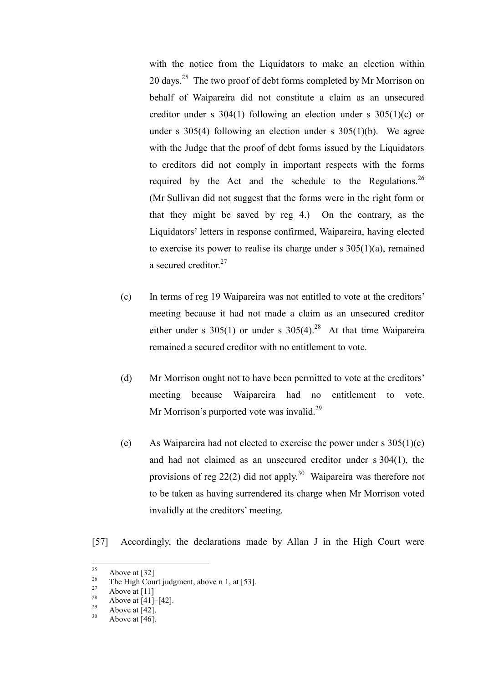with the notice from the Liquidators to make an election within 20 days.<sup>25</sup> The two proof of debt forms completed by Mr Morrison on behalf of Waipareira did not constitute a claim as an unsecured creditor under s 304(1) following an election under s 305(1)(c) or under s  $305(4)$  following an election under s  $305(1)(b)$ . We agree with the Judge that the proof of debt forms issued by the Liquidators to creditors did not comply in important respects with the forms required by the Act and the schedule to the Regulations.<sup>26</sup> (Mr Sullivan did not suggest that the forms were in the right form or that they might be saved by reg 4.) On the contrary, as the Liquidators' letters in response confirmed, Waipareira, having elected to exercise its power to realise its charge under  $s$  305(1)(a), remained a secured creditor.<sup>27</sup>

- (c) In terms of reg 19 Waipareira was not entitled to vote at the creditors' meeting because it had not made a claim as an unsecured creditor either under s  $305(1)$  or under s  $305(4).^{28}$  At that time Waipareira remained a secured creditor with no entitlement to vote.
- (d) Mr Morrison ought not to have been permitted to vote at the creditors' meeting because Waipareira had no entitlement to vote. Mr Morrison's purported vote was invalid.<sup>29</sup>
- (e) As Waipareira had not elected to exercise the power under s  $305(1)(c)$ and had not claimed as an unsecured creditor under s 304(1), the provisions of reg  $22(2)$  did not apply.<sup>30</sup> Waipareira was therefore not to be taken as having surrendered its charge when Mr Morrison voted invalidly at the creditors' meeting.

[57] Accordingly, the declarations made by Allan J in the High Court were

<sup>25</sup>  $\frac{25}{26}$  Above at [\[32\]](#page-8-0)

<sup>&</sup>lt;sup>26</sup> The High Court judgment, above n [1,](#page-1-0) at [53].

 $\frac{27}{28}$  Above at [\[11\]](#page-2-1)

<sup>&</sup>lt;sup>28</sup> Above at [\[41\]](#page-10-0)–[\[42\].](#page-11-0)

 $^{29}$  Above at [\[42\].](#page-11-0)

Above at  $[46]$ .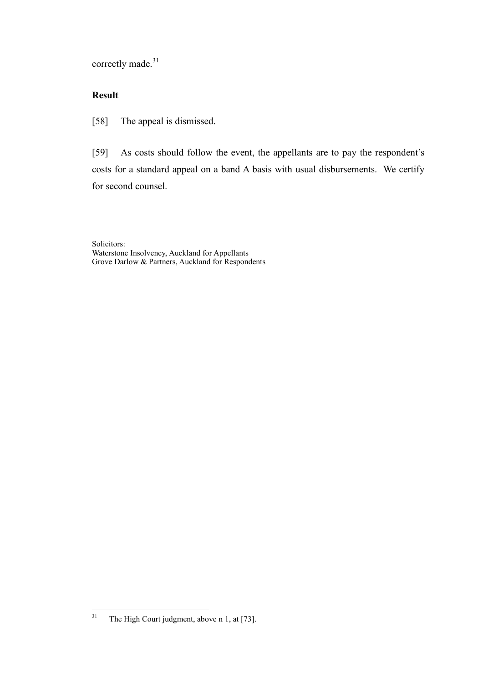correctly made.<sup>31</sup>

# **Result**

[58] The appeal is dismissed.

[59] As costs should follow the event, the appellants are to pay the respondent's costs for a standard appeal on a band A basis with usual disbursements. We certify for second counsel.

Solicitors: Waterstone Insolvency, Auckland for Appellants Grove Darlow & Partners, Auckland for Respondents

<sup>31</sup> The High Court judgment, above n [1,](#page-1-0) at [73].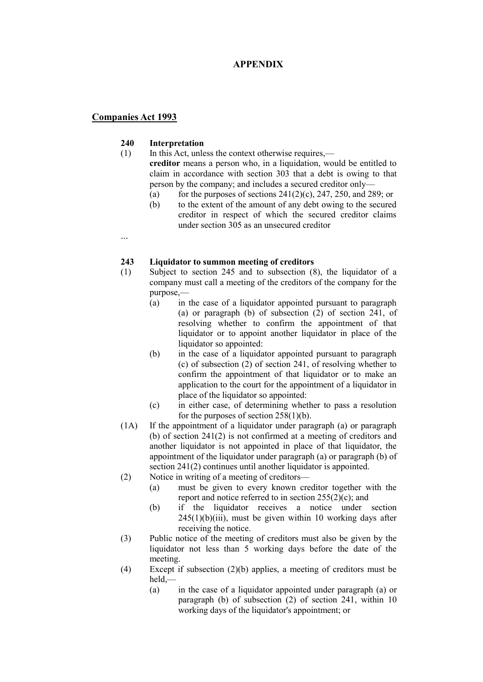### **APPENDIX**

### **Companies Act 1993**

...

#### **240 Interpretation**

- (1) In this Act, unless the context otherwise requires, **creditor** means a person who, in a liquidation, would be entitled to claim in accordance with [section 303](http://www.legislation.govt.nz/act/public/1993/0105/latest/link.aspx?id=DLM322326) that a debt is owing to that person by the company; and includes a secured creditor only—
	- (a) for the purposes of sections  $241(2)(c)$ ,  $247$ ,  $250$ , and  $289$ ; or
	- (b) to the extent of the amount of any debt owing to the secured creditor in respect of which the secured creditor claims under [section 305](http://www.legislation.govt.nz/act/public/1993/0105/latest/link.aspx?id=DLM322329) as an unsecured creditor
	-

### **243 Liquidator to summon meeting of creditors**

- (1) Subject to [section 245](http://www.legislation.govt.nz/act/public/1993/0105/latest/link.aspx?id=DLM321692) and to subsection (8), the liquidator of a company must call a meeting of the creditors of the company for the purpose,—
	- (a) in the case of a liquidator appointed pursuant to paragraph (a) or paragraph (b) of subsection (2) of [section 241,](http://www.legislation.govt.nz/act/public/1993/0105/latest/link.aspx?id=DLM321678) of resolving whether to confirm the appointment of that liquidator or to appoint another liquidator in place of the liquidator so appointed:
	- (b) in the case of a liquidator appointed pursuant to paragraph (c) of subsection (2) of [section 241,](http://www.legislation.govt.nz/act/public/1993/0105/latest/link.aspx?id=DLM321678) of resolving whether to confirm the appointment of that liquidator or to make an application to the court for the appointment of a liquidator in place of the liquidator so appointed:
	- (c) in either case, of determining whether to pass a resolution for the purposes of [section 258\(1\)\(b\).](http://www.legislation.govt.nz/act/public/1993/0105/latest/link.aspx?id=DLM321915)
- (1A) If the appointment of a liquidator under paragraph (a) or paragraph (b) of [section 241\(2\)](http://www.legislation.govt.nz/act/public/1993/0105/latest/link.aspx?id=DLM321678) is not confirmed at a meeting of creditors and another liquidator is not appointed in place of that liquidator, the appointment of the liquidator under paragraph (a) or paragraph (b) of section 241(2) continues until another liquidator is appointed.
- (2) Notice in writing of a meeting of creditors—
	- (a) must be given to every known creditor together with the report and notice referred to in section  $255(2)(c)$ ; and
	- (b) if the liquidator receives a notice under [section](http://www.legislation.govt.nz/act/public/1993/0105/latest/link.aspx?id=DLM321692)   $245(1)(b)(iii)$ , must be given within 10 working days after receiving the notice.
- (3) Public notice of the meeting of creditors must also be given by the liquidator not less than 5 working days before the date of the meeting.
- (4) Except if subsection (2)(b) applies, a meeting of creditors must be held,—
	- (a) in the case of a liquidator appointed under paragraph (a) or paragraph (b) of subsection (2) of [section 241,](http://www.legislation.govt.nz/act/public/1993/0105/latest/link.aspx?id=DLM321678) within 10 working days of the liquidator's appointment; or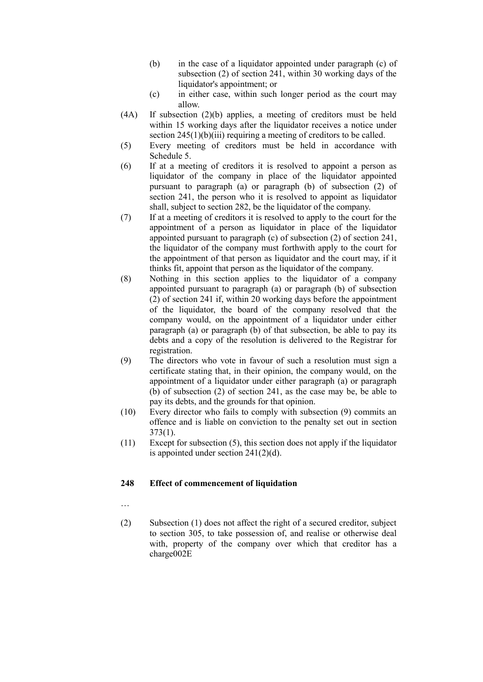- (b) in the case of a liquidator appointed under paragraph (c) of subsection (2) of [section 241,](http://www.legislation.govt.nz/act/public/1993/0105/latest/link.aspx?id=DLM321678) within 30 working days of the liquidator's appointment; or
- (c) in either case, within such longer period as the court may allow.
- (4A) If subsection (2)(b) applies, a meeting of creditors must be held within 15 working days after the liquidator receives a notice under [section 245\(1\)\(b\)\(iii\)](http://www.legislation.govt.nz/act/public/1993/0105/latest/link.aspx?id=DLM321692) requiring a meeting of creditors to be called.
- (5) Every meeting of creditors must be held in accordance with [Schedule 5.](http://www.legislation.govt.nz/act/public/1993/0105/latest/link.aspx?id=DLM323523)
- (6) If at a meeting of creditors it is resolved to appoint a person as liquidator of the company in place of the liquidator appointed pursuant to paragraph (a) or paragraph (b) of subsection (2) of [section 241,](http://www.legislation.govt.nz/act/public/1993/0105/latest/link.aspx?id=DLM321678) the person who it is resolved to appoint as liquidator shall, subject to [section 282,](http://www.legislation.govt.nz/act/public/1993/0105/latest/link.aspx?id=DLM321956) be the liquidator of the company.
- (7) If at a meeting of creditors it is resolved to apply to the court for the appointment of a person as liquidator in place of the liquidator appointed pursuant to paragraph (c) of subsection (2) of [section 241,](http://www.legislation.govt.nz/act/public/1993/0105/latest/link.aspx?id=DLM321678) the liquidator of the company must forthwith apply to the court for the appointment of that person as liquidator and the court may, if it thinks fit, appoint that person as the liquidator of the company.
- (8) Nothing in this section applies to the liquidator of a company appointed pursuant to paragraph (a) or paragraph (b) of subsection (2) of [section 241](http://www.legislation.govt.nz/act/public/1993/0105/latest/link.aspx?id=DLM321678) if, within 20 working days before the appointment of the liquidator, the board of the company resolved that the company would, on the appointment of a liquidator under either paragraph (a) or paragraph (b) of that subsection, be able to pay its debts and a copy of the resolution is delivered to the Registrar for registration.
- (9) The directors who vote in favour of such a resolution must sign a certificate stating that, in their opinion, the company would, on the appointment of a liquidator under either paragraph (a) or paragraph (b) of subsection (2) of [section 241,](http://www.legislation.govt.nz/act/public/1993/0105/latest/link.aspx?id=DLM321678) as the case may be, be able to pay its debts, and the grounds for that opinion.
- (10) Every director who fails to comply with subsection (9) commits an offence and is liable on conviction to the penalty set out in [section](http://www.legislation.govt.nz/act/public/1993/0105/latest/link.aspx?id=DLM323231)  [373\(1\).](http://www.legislation.govt.nz/act/public/1993/0105/latest/link.aspx?id=DLM323231)
- (11) Except for subsection (5), this section does not apply if the liquidator is appointed under section  $241(2)(d)$ .

### **248 Effect of commencement of liquidation**

- …
- (2) Subsection (1) does not affect the right of a secured creditor, subject to [section 305,](http://www.legislation.govt.nz/act/public/1993/0105/latest/link.aspx?id=DLM322329) to take possession of, and realise or otherwise deal with, property of the company over which that creditor has a charge002E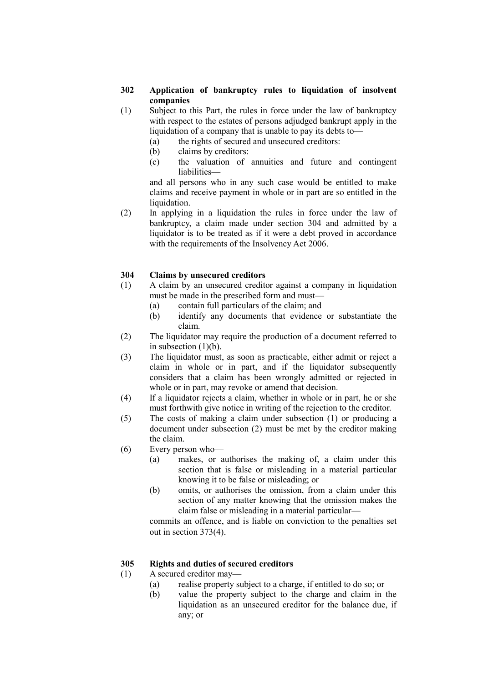### **302 Application of bankruptcy rules to liquidation of insolvent companies**

- (1) Subject to this Part, the rules in force under the law of bankruptcy with respect to the estates of persons adjudged bankrupt apply in the liquidation of a company that is unable to pay its debts to—
	- (a) the rights of secured and unsecured creditors:
	- (b) claims by creditors:
	- (c) the valuation of annuities and future and contingent liabilities—

and all persons who in any such case would be entitled to make claims and receive payment in whole or in part are so entitled in the liquidation.

(2) In applying in a liquidation the rules in force under the law of bankruptcy, a claim made under [section 304](http://www.legislation.govt.nz/act/public/1993/0105/latest/link.aspx?id=DLM322328) and admitted by a liquidator is to be treated as if it were a debt proved in accordance with the requirements of the Insolvency Act 2006.

### **304 Claims by unsecured creditors**

- (1) A claim by an unsecured creditor against a company in liquidation must be made in the prescribed form and must—
	- (a) contain full particulars of the claim; and
	- (b) identify any documents that evidence or substantiate the claim.
- (2) The liquidator may require the production of a document referred to in subsection  $(1)(b)$ .
- (3) The liquidator must, as soon as practicable, either admit or reject a claim in whole or in part, and if the liquidator subsequently considers that a claim has been wrongly admitted or rejected in whole or in part, may revoke or amend that decision.
- (4) If a liquidator rejects a claim, whether in whole or in part, he or she must forthwith give notice in writing of the rejection to the creditor.
- (5) The costs of making a claim under subsection (1) or producing a document under subsection (2) must be met by the creditor making the claim.
- (6) Every person who—
	- (a) makes, or authorises the making of, a claim under this section that is false or misleading in a material particular knowing it to be false or misleading; or
	- (b) omits, or authorises the omission, from a claim under this section of any matter knowing that the omission makes the claim false or misleading in a material particular—

commits an offence, and is liable on conviction to the penalties set out in [section 373\(4\)](http://www.legislation.govt.nz/act/public/1993/0105/latest/link.aspx?id=DLM323231).

### **305 Rights and duties of secured creditors**

- (1) A secured creditor may—
	- (a) realise property subject to a charge, if entitled to do so; or
	- (b) value the property subject to the charge and claim in the liquidation as an unsecured creditor for the balance due, if any; or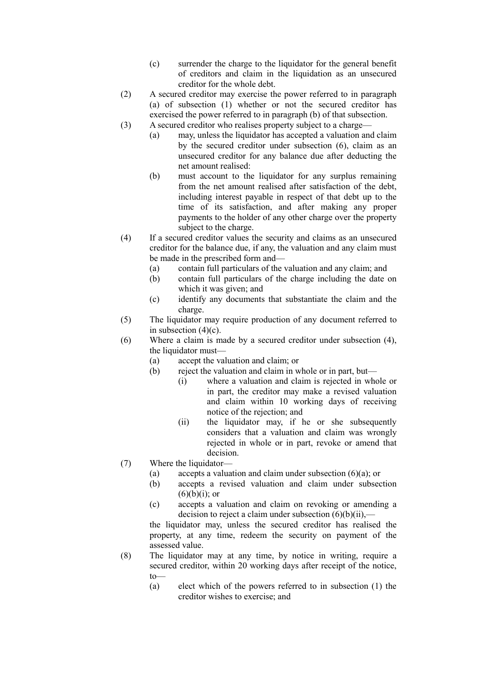- (c) surrender the charge to the liquidator for the general benefit of creditors and claim in the liquidation as an unsecured creditor for the whole debt.
- (2) A secured creditor may exercise the power referred to in paragraph (a) of subsection (1) whether or not the secured creditor has exercised the power referred to in paragraph (b) of that subsection.
- (3) A secured creditor who realises property subject to a charge—
	- (a) may, unless the liquidator has accepted a valuation and claim by the secured creditor under subsection (6), claim as an unsecured creditor for any balance due after deducting the net amount realised:
	- (b) must account to the liquidator for any surplus remaining from the net amount realised after satisfaction of the debt, including interest payable in respect of that debt up to the time of its satisfaction, and after making any proper payments to the holder of any other charge over the property subject to the charge.
- (4) If a secured creditor values the security and claims as an unsecured creditor for the balance due, if any, the valuation and any claim must be made in the prescribed form and—
	- (a) contain full particulars of the valuation and any claim; and
	- (b) contain full particulars of the charge including the date on which it was given; and
	- (c) identify any documents that substantiate the claim and the charge.
- (5) The liquidator may require production of any document referred to in subsection  $(4)(c)$ .
- (6) Where a claim is made by a secured creditor under subsection (4), the liquidator must—
	- (a) accept the valuation and claim; or
	- (b) reject the valuation and claim in whole or in part, but—
		- (i) where a valuation and claim is rejected in whole or in part, the creditor may make a revised valuation and claim within 10 working days of receiving notice of the rejection; and
		- (ii) the liquidator may, if he or she subsequently considers that a valuation and claim was wrongly rejected in whole or in part, revoke or amend that decision.
- (7) Where the liquidator—
	- (a) accepts a valuation and claim under subsection  $(6)(a)$ ; or
	- (b) accepts a revised valuation and claim under subsection  $(6)(b)(i)$ ; or
	- (c) accepts a valuation and claim on revoking or amending a decision to reject a claim under subsection  $(6)(b)(ii)$ ,—

the liquidator may, unless the secured creditor has realised the property, at any time, redeem the security on payment of the assessed value.

- (8) The liquidator may at any time, by notice in writing, require a secured creditor, within 20 working days after receipt of the notice, to—
	- (a) elect which of the powers referred to in subsection (1) the creditor wishes to exercise; and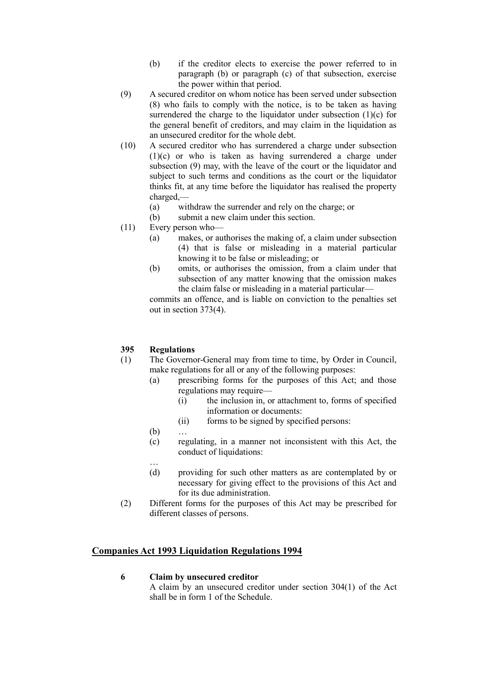- (b) if the creditor elects to exercise the power referred to in paragraph (b) or paragraph (c) of that subsection, exercise the power within that period.
- (9) A secured creditor on whom notice has been served under subsection (8) who fails to comply with the notice, is to be taken as having surrendered the charge to the liquidator under subsection  $(1)(c)$  for the general benefit of creditors, and may claim in the liquidation as an unsecured creditor for the whole debt.
- (10) A secured creditor who has surrendered a charge under subsection (1)(c) or who is taken as having surrendered a charge under subsection (9) may, with the leave of the court or the liquidator and subject to such terms and conditions as the court or the liquidator thinks fit, at any time before the liquidator has realised the property charged,—
	- (a) withdraw the surrender and rely on the charge; or
	- (b) submit a new claim under this section.
- (11) Every person who—
	- (a) makes, or authorises the making of, a claim under subsection (4) that is false or misleading in a material particular knowing it to be false or misleading; or
	- (b) omits, or authorises the omission, from a claim under that subsection of any matter knowing that the omission makes the claim false or misleading in a material particular—

commits an offence, and is liable on conviction to the penalties set out in [section 373\(4\).](http://www.legislation.govt.nz/act/public/1993/0105/latest/link.aspx?id=DLM323231)

### **395 Regulations**

- (1) The Governor-General may from time to time, by Order in Council, make regulations for all or any of the following purposes:
	- (a) prescribing forms for the purposes of this Act; and those regulations may require—
		- (i) the inclusion in, or attachment to, forms of specified information or documents:
		- (ii) forms to be signed by specified persons:
	- $(b)$
	- (c) regulating, in a manner not inconsistent with this Act, the conduct of liquidations:
	- … (d) providing for such other matters as are contemplated by or necessary for giving effect to the provisions of this Act and for its due administration.
- (2) Different forms for the purposes of this Act may be prescribed for different classes of persons.

### **Companies Act 1993 Liquidation Regulations 1994**

### **6 Claim by unsecured creditor**

A claim by an unsecured creditor under [section 304\(1\)](http://www.legislation.govt.nz/regulation/public/1994/0130/latest/link.aspx?search=ts_regulation_companies+act_resel&p=1&id=DLM322328) of the Act shall be in [form 1](http://www.legislation.govt.nz/regulation/public/1994/0130/latest/link.aspx?search=ts_regulation_companies+act_resel&p=1&id=DLM192108) of the Schedule.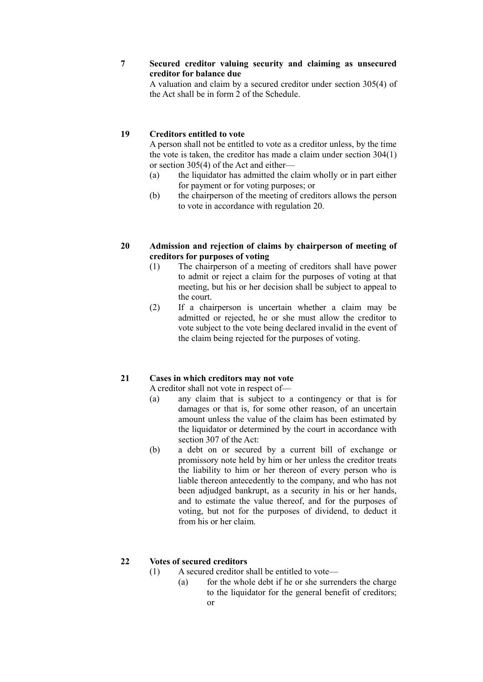### **7 Secured creditor valuing security and claiming as unsecured creditor for balance due**

A valuation and claim by a secured creditor under [section 305\(4\)](http://www.legislation.govt.nz/regulation/public/1994/0130/latest/link.aspx?search=ts_regulation_companies+act_resel&p=1&id=DLM322329) of the Act shall be in [form 2](http://www.legislation.govt.nz/regulation/public/1994/0130/latest/link.aspx?search=ts_regulation_companies+act_resel&p=1&id=DLM192112) of the Schedule.

### **19 Creditors entitled to vote**

A person shall not be entitled to vote as a creditor unless, by the time the vote is taken, the creditor has made a claim under [section 304\(1\)](http://www.legislation.govt.nz/regulation/public/1994/0130/latest/link.aspx?search=ts_regulation_companies+act_resel&p=1&id=DLM322328) or [section 305\(4\)](http://www.legislation.govt.nz/regulation/public/1994/0130/latest/link.aspx?search=ts_regulation_companies+act_resel&p=1&id=DLM322329) of the Act and either—

- (a) the liquidator has admitted the claim wholly or in part either for payment or for voting purposes; or
- (b) the chairperson of the meeting of creditors allows the person to vote in accordance with [regulation 2](http://www.legislation.govt.nz/regulation/public/1994/0130/latest/link.aspx?search=ts_regulation_companies+act_resel&p=1&id=DLM191682)0.
- **20 Admission and rejection of claims by chairperson of meeting of creditors for purposes of voting**
	- (1) The chairperson of a meeting of creditors shall have power to admit or reject a claim for the purposes of voting at that meeting, but his or her decision shall be subject to appeal to the court.
	- (2) If a chairperson is uncertain whether a claim may be admitted or rejected, he or she must allow the creditor to vote subject to the vote being declared invalid in the event of the claim being rejected for the purposes of voting.

### **21 Cases in which creditors may not vote**

A creditor shall not vote in respect of—

- (a) any claim that is subject to a contingency or that is for damages or that is, for some other reason, of an uncertain amount unless the value of the claim has been estimated by the liquidator or determined by the court in accordance with [section 307](http://www.legislation.govt.nz/regulation/public/1994/0130/latest/link.aspx?search=ts_regulation_companies+act_resel&p=1&id=DLM322333) of the Act:
- (b) a debt on or secured by a current bill of exchange or promissory note held by him or her unless the creditor treats the liability to him or her thereon of every person who is liable thereon antecedently to the company, and who has not been adjudged bankrupt, as a security in his or her hands, and to estimate the value thereof, and for the purposes of voting, but not for the purposes of dividend, to deduct it from his or her claim.

### **22 Votes of secured creditors**

- (1) A secured creditor shall be entitled to vote—
	- (a) for the whole debt if he or she surrenders the charge to the liquidator for the general benefit of creditors; or